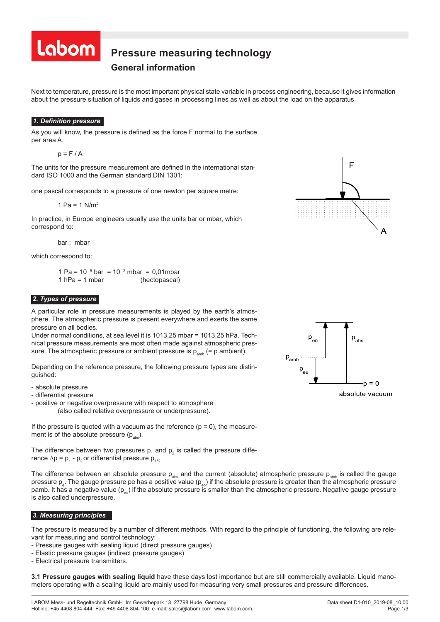

#### **Pressure measuring technology Pressure measurement technology F**ressure integr

# **General information**

Next to temperature, pressure is the most important physical state variable in process engineering, because it gives information about the pressure situation of liquids and gases in processing lines as well as about the load on the apparatus.

### *1. Definition pressure*

As you will know, the pressure is defined as the force F normal to the surface per area A.

 $p = F / A$ 

The units for the pressure measurement are defined in the international standard ISO 1000 and the German standard DIN 1301:

one pascal corresponds to a pressure of one newton per square metre:

1 Pa =  $1$  N/m<sup>2</sup>

In practice, in Europe engineers usually use the units bar or mbar, which correspond to:

bar ; mbar

which correspond to:

1 Pa =  $10^{-5}$  bar =  $10^{-2}$  mbar = 0,01 mbar 1 hPa = 1 mbar (hectopascal)

### *2. Types of pressure*

A particular role in pressure measurements is played by the earth's atmosphere. The atmospheric pressure is present everywhere and exerts the same pressure on all bodies.

Under normal conditions, at sea level it is 1013.25 mbar = 1013.25 hPa. Technical pressure measurements are most often made against atmospheric pressure. The atmospheric pressure or ambient pressure is  $p_{amb}$  (= p ambient).

Depending on the reference pressure, the following pressure types are distinguished:

- absolute pressure
- differential pressure
- positive or negative overpressure with respect to atmosphere (also called relative overpressure or underpressure).

If the pressure is quoted with a vacuum as the reference  $(p = 0)$ , the measurement is of the absolute pressure  $(p_{\text{abs}})$ .

The difference between two pressures  ${\sf p}_{\scriptscriptstyle 1}$  and  ${\sf p}_{\scriptscriptstyle 2}$  is called the pressure difference ∆p =  $p_1 - p_2$  or differential pressure  $p_{1,2}$ 

The difference between an absolute pressure  $p_{abs}$  and the current (absolute) atmospheric pressure  $p_{amb}$  is called the gauge pressure  $\bm{{\mathsf{p}}}_\text{e}.$  The gauge pressure pe has a positive value ( $\bm{{\mathsf{p}}}_\text{eo}$ ) if the absolute pressure is greater than the atmospheric pressure pamb. It has a negative value  $(p_{\text{av}})$  if the absolute pressure is smaller than the atmospheric pressure. Negative gauge pressure is also called underpressure.

### *3. Measuring principles*

 $\overline{a}$ 

The pressure is measured by a number of different methods. With regard to the principle of functioning, the following are relevant for measuring and control technology:

- Pressure gauges with sealing liquid (direct pressure gauges)
- Elastic pressure gauges (indirect pressure gauges)
- Electrical pressure transmitters.

**3.1 Pressure gauges with sealing liquid** have these days lost importance but are still commercially available. Liquid manometers operating with a sealing liquid are mainly used for measuring very small pressures and pressure differences.





absolute vacuum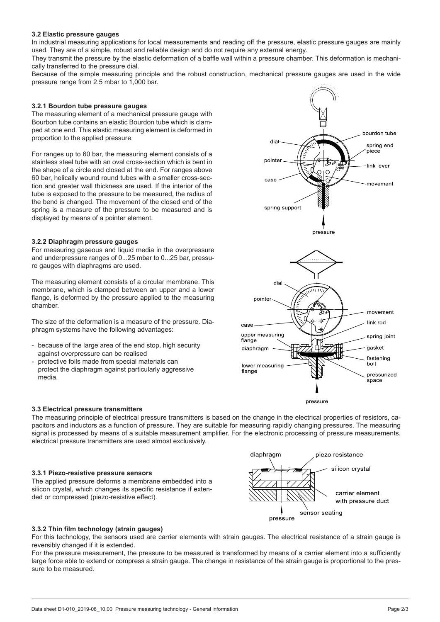### **3.2 Elastic pressure gauges**

In industrial measuring applications for local measurements and reading off the pressure, elastic pressure gauges are mainly used. They are of a simple, robust and reliable design and do not require any external energy.

They transmit the pressure by the elastic deformation of a baffle wall within a pressure chamber. This deformation is mechanically transferred to the pressure dial.

Because of the simple measuring principle and the robust construction, mechanical pressure gauges are used in the wide pressure range from 2.5 mbar to 1,000 bar.

### **3.2.1 Bourdon tube pressure gauges**

The measuring element of a mechanical pressure gauge with Bourbon tube contains an elastic Bourdon tube which is clamped at one end. This elastic measuring element is deformed in proportion to the applied pressure.

For ranges up to 60 bar, the measuring element consists of a stainless steel tube with an oval cross-section which is bent in the shape of a circle and closed at the end. For ranges above 60 bar, helically wound round tubes with a smaller cross-section and greater wall thickness are used. If the interior of the tube is exposed to the pressure to be measured, the radius of the bend is changed. The movement of the closed end of the spring is a measure of the pressure to be measured and is displayed by means of a pointer element.

### **3.2.2 Diaphragm pressure gauges**

For measuring gaseous and liquid media in the overpressure and underpressure ranges of 0...25 mbar to 0...25 bar, pressure gauges with diaphragms are used.

The measuring element consists of a circular membrane. This membrane, which is clamped between an upper and a lower flange, is deformed by the pressure applied to the measuring chamber.

The size of the deformation is a measure of the pressure. Diaphragm systems have the following advantages:

- because of the large area of the end stop, high security against overpressure can be realised
- protective foils made from special materials can protect the diaphragm against particularly aggressive media.





### **3.3 Electrical pressure transmitters**

The measuring principle of electrical pressure transmitters is based on the change in the electrical properties of resistors, capacitors and inductors as a function of pressure. They are suitable for measuring rapidly changing pressures. The measuring signal is processed by means of a suitable measurement amplifier. For the electronic processing of pressure measurements, electrical pressure transmitters are used almost exclusively.

### **3.3.1 Piezo-resistive pressure sensors**

The applied pressure deforms a membrane embedded into a silicon crystal, which changes its specific resistance if extended or compressed (piezo-resistive effect).



### **3.3.2 Thin film technology (strain gauges)**

For this technology, the sensors used are carrier elements with strain gauges. The electrical resistance of a strain gauge is reversibly changed if it is extended.

For the pressure measurement, the pressure to be measured is transformed by means of a carrier element into a sufficiently large force able to extend or compress a strain gauge. The change in resistance of the strain gauge is proportional to the pressure to be measured.